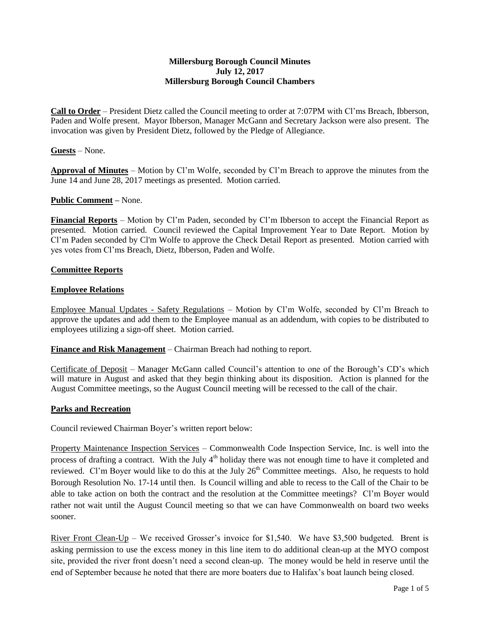#### **Millersburg Borough Council Minutes July 12, 2017 Millersburg Borough Council Chambers**

**Call to Order** – President Dietz called the Council meeting to order at 7:07PM with Cl'ms Breach, Ibberson, Paden and Wolfe present. Mayor Ibberson, Manager McGann and Secretary Jackson were also present. The invocation was given by President Dietz, followed by the Pledge of Allegiance.

### **Guests** – None.

**Approval of Minutes** – Motion by Cl'm Wolfe, seconded by Cl'm Breach to approve the minutes from the June 14 and June 28, 2017 meetings as presented. Motion carried.

### **Public Comment –** None.

**Financial Reports** – Motion by Cl'm Paden, seconded by Cl'm Ibberson to accept the Financial Report as presented. Motion carried. Council reviewed the Capital Improvement Year to Date Report. Motion by Cl'm Paden seconded by Cl'm Wolfe to approve the Check Detail Report as presented. Motion carried with yes votes from Cl'ms Breach, Dietz, Ibberson, Paden and Wolfe.

### **Committee Reports**

### **Employee Relations**

Employee Manual Updates - Safety Regulations – Motion by Cl'm Wolfe, seconded by Cl'm Breach to approve the updates and add them to the Employee manual as an addendum, with copies to be distributed to employees utilizing a sign-off sheet. Motion carried.

**Finance and Risk Management** – Chairman Breach had nothing to report.

Certificate of Deposit – Manager McGann called Council's attention to one of the Borough's CD's which will mature in August and asked that they begin thinking about its disposition. Action is planned for the August Committee meetings, so the August Council meeting will be recessed to the call of the chair.

### **Parks and Recreation**

Council reviewed Chairman Boyer's written report below:

Property Maintenance Inspection Services – Commonwealth Code Inspection Service, Inc. is well into the process of drafting a contract. With the July  $4<sup>th</sup>$  holiday there was not enough time to have it completed and reviewed. Cl'm Boyer would like to do this at the July 26<sup>th</sup> Committee meetings. Also, he requests to hold Borough Resolution No. 17-14 until then. Is Council willing and able to recess to the Call of the Chair to be able to take action on both the contract and the resolution at the Committee meetings? Cl'm Boyer would rather not wait until the August Council meeting so that we can have Commonwealth on board two weeks sooner.

<u>River Front Clean-Up</u> – We received Grosser's invoice for \$1,540. We have \$3,500 budgeted. Brent is asking permission to use the excess money in this line item to do additional clean-up at the MYO compost site, provided the river front doesn't need a second clean-up. The money would be held in reserve until the end of September because he noted that there are more boaters due to Halifax's boat launch being closed.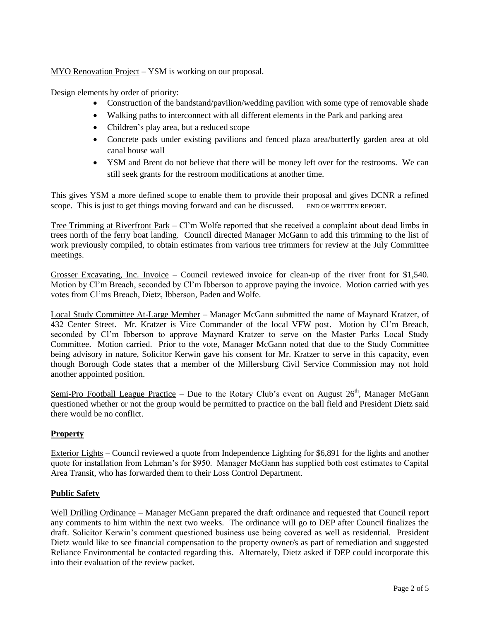MYO Renovation Project – YSM is working on our proposal.

Design elements by order of priority:

- Construction of the bandstand/pavilion/wedding pavilion with some type of removable shade
- Walking paths to interconnect with all different elements in the Park and parking area
- Children's play area, but a reduced scope
- Concrete pads under existing pavilions and fenced plaza area/butterfly garden area at old canal house wall
- YSM and Brent do not believe that there will be money left over for the restrooms. We can still seek grants for the restroom modifications at another time.

This gives YSM a more defined scope to enable them to provide their proposal and gives DCNR a refined scope. This is just to get things moving forward and can be discussed. END OF WRITTEN REPORT.

Tree Trimming at Riverfront Park – Cl'm Wolfe reported that she received a complaint about dead limbs in trees north of the ferry boat landing. Council directed Manager McGann to add this trimming to the list of work previously compiled, to obtain estimates from various tree trimmers for review at the July Committee meetings.

Grosser Excavating, Inc. Invoice – Council reviewed invoice for clean-up of the river front for \$1,540. Motion by Cl'm Breach, seconded by Cl'm Ibberson to approve paying the invoice. Motion carried with yes votes from Cl'ms Breach, Dietz, Ibberson, Paden and Wolfe.

Local Study Committee At-Large Member – Manager McGann submitted the name of Maynard Kratzer, of 432 Center Street. Mr. Kratzer is Vice Commander of the local VFW post. Motion by Cl'm Breach, seconded by Cl'm Ibberson to approve Maynard Kratzer to serve on the Master Parks Local Study Committee. Motion carried. Prior to the vote, Manager McGann noted that due to the Study Committee being advisory in nature, Solicitor Kerwin gave his consent for Mr. Kratzer to serve in this capacity, even though Borough Code states that a member of the Millersburg Civil Service Commission may not hold another appointed position.

Semi-Pro Football League Practice – Due to the Rotary Club's event on August  $26<sup>th</sup>$ , Manager McGann questioned whether or not the group would be permitted to practice on the ball field and President Dietz said there would be no conflict.

# **Property**

Exterior Lights – Council reviewed a quote from Independence Lighting for \$6,891 for the lights and another quote for installation from Lehman's for \$950. Manager McGann has supplied both cost estimates to Capital Area Transit, who has forwarded them to their Loss Control Department.

### **Public Safety**

Well Drilling Ordinance – Manager McGann prepared the draft ordinance and requested that Council report any comments to him within the next two weeks. The ordinance will go to DEP after Council finalizes the draft. Solicitor Kerwin's comment questioned business use being covered as well as residential. President Dietz would like to see financial compensation to the property owner/s as part of remediation and suggested Reliance Environmental be contacted regarding this. Alternately, Dietz asked if DEP could incorporate this into their evaluation of the review packet.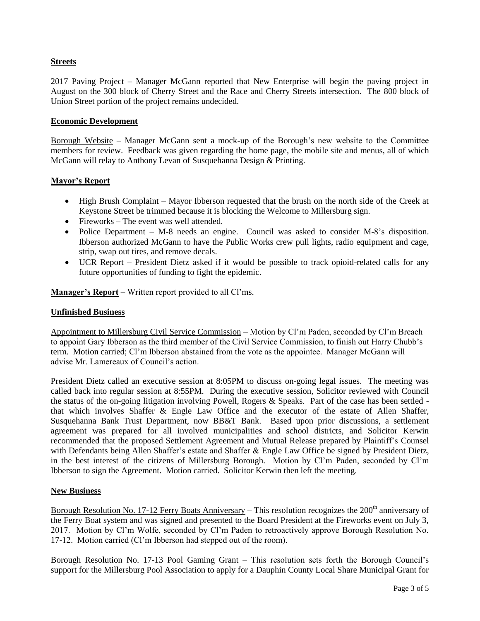## **Streets**

2017 Paving Project – Manager McGann reported that New Enterprise will begin the paving project in August on the 300 block of Cherry Street and the Race and Cherry Streets intersection. The 800 block of Union Street portion of the project remains undecided.

### **Economic Development**

Borough Website – Manager McGann sent a mock-up of the Borough's new website to the Committee members for review. Feedback was given regarding the home page, the mobile site and menus, all of which McGann will relay to Anthony Levan of Susquehanna Design & Printing.

### **Mayor's Report**

- High Brush Complaint Mayor Ibberson requested that the brush on the north side of the Creek at Keystone Street be trimmed because it is blocking the Welcome to Millersburg sign.
- Fireworks The event was well attended.
- Police Department M-8 needs an engine. Council was asked to consider M-8's disposition. Ibberson authorized McGann to have the Public Works crew pull lights, radio equipment and cage, strip, swap out tires, and remove decals.
- UCR Report President Dietz asked if it would be possible to track opioid-related calls for any future opportunities of funding to fight the epidemic.

**Manager's Report –** Written report provided to all Cl'ms.

### **Unfinished Business**

Appointment to Millersburg Civil Service Commission – Motion by Cl'm Paden, seconded by Cl'm Breach to appoint Gary Ibberson as the third member of the Civil Service Commission, to finish out Harry Chubb's term. Motion carried; Cl'm Ibberson abstained from the vote as the appointee. Manager McGann will advise Mr. Lamereaux of Council's action.

President Dietz called an executive session at 8:05PM to discuss on-going legal issues. The meeting was called back into regular session at 8:55PM. During the executive session, Solicitor reviewed with Council the status of the on-going litigation involving Powell, Rogers & Speaks. Part of the case has been settled that which involves Shaffer & Engle Law Office and the executor of the estate of Allen Shaffer, Susquehanna Bank Trust Department, now BB&T Bank. Based upon prior discussions, a settlement agreement was prepared for all involved municipalities and school districts, and Solicitor Kerwin recommended that the proposed Settlement Agreement and Mutual Release prepared by Plaintiff's Counsel with Defendants being Allen Shaffer's estate and Shaffer & Engle Law Office be signed by President Dietz, in the best interest of the citizens of Millersburg Borough. Motion by Cl'm Paden, seconded by Cl'm Ibberson to sign the Agreement. Motion carried. Solicitor Kerwin then left the meeting.

### **New Business**

Borough Resolution No. 17-12 Ferry Boats Anniversary – This resolution recognizes the  $200<sup>th</sup>$  anniversary of the Ferry Boat system and was signed and presented to the Board President at the Fireworks event on July 3, 2017. Motion by Cl'm Wolfe, seconded by Cl'm Paden to retroactively approve Borough Resolution No. 17-12. Motion carried (Cl'm Ibberson had stepped out of the room).

Borough Resolution No. 17-13 Pool Gaming Grant – This resolution sets forth the Borough Council's support for the Millersburg Pool Association to apply for a Dauphin County Local Share Municipal Grant for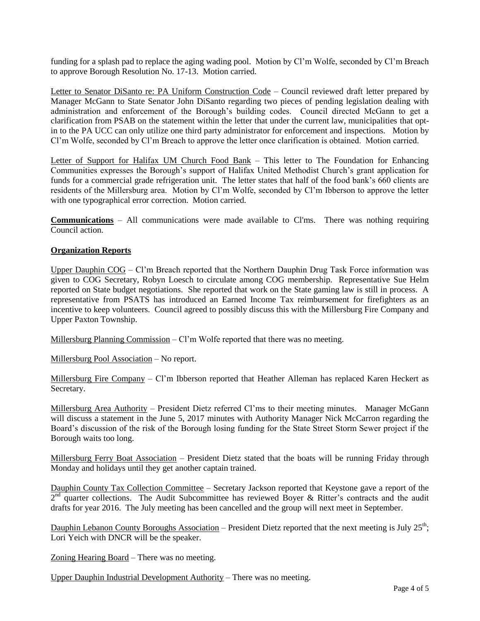funding for a splash pad to replace the aging wading pool. Motion by Cl'm Wolfe, seconded by Cl'm Breach to approve Borough Resolution No. 17-13. Motion carried.

Letter to Senator DiSanto re: PA Uniform Construction Code - Council reviewed draft letter prepared by Manager McGann to State Senator John DiSanto regarding two pieces of pending legislation dealing with administration and enforcement of the Borough's building codes. Council directed McGann to get a clarification from PSAB on the statement within the letter that under the current law, municipalities that optin to the PA UCC can only utilize one third party administrator for enforcement and inspections. Motion by Cl'm Wolfe, seconded by Cl'm Breach to approve the letter once clarification is obtained. Motion carried.

Letter of Support for Halifax UM Church Food Bank - This letter to The Foundation for Enhancing Communities expresses the Borough's support of Halifax United Methodist Church's grant application for funds for a commercial grade refrigeration unit. The letter states that half of the food bank's 660 clients are residents of the Millersburg area. Motion by Cl'm Wolfe, seconded by Cl'm Ibberson to approve the letter with one typographical error correction. Motion carried.

**Communications** – All communications were made available to Cl'ms. There was nothing requiring Council action.

### **Organization Reports**

Upper Dauphin COG – Cl'm Breach reported that the Northern Dauphin Drug Task Force information was given to COG Secretary, Robyn Loesch to circulate among COG membership. Representative Sue Helm reported on State budget negotiations. She reported that work on the State gaming law is still in process. A representative from PSATS has introduced an Earned Income Tax reimbursement for firefighters as an incentive to keep volunteers. Council agreed to possibly discuss this with the Millersburg Fire Company and Upper Paxton Township.

Millersburg Planning Commission  $-$  Cl'm Wolfe reported that there was no meeting.

Millersburg Pool Association – No report.

Millersburg Fire Company – Cl'm Ibberson reported that Heather Alleman has replaced Karen Heckert as Secretary.

Millersburg Area Authority – President Dietz referred Cl'ms to their meeting minutes. Manager McGann will discuss a statement in the June 5, 2017 minutes with Authority Manager Nick McCarron regarding the Board's discussion of the risk of the Borough losing funding for the State Street Storm Sewer project if the Borough waits too long.

Millersburg Ferry Boat Association – President Dietz stated that the boats will be running Friday through Monday and holidays until they get another captain trained.

Dauphin County Tax Collection Committee – Secretary Jackson reported that Keystone gave a report of the  $2<sup>nd</sup>$  quarter collections. The Audit Subcommittee has reviewed Boyer & Ritter's contracts and the audit drafts for year 2016. The July meeting has been cancelled and the group will next meet in September.

Dauphin Lebanon County Boroughs Association – President Dietz reported that the next meeting is July  $25^{th}$ ; Lori Yeich with DNCR will be the speaker.

Zoning Hearing Board – There was no meeting.

Upper Dauphin Industrial Development Authority – There was no meeting.